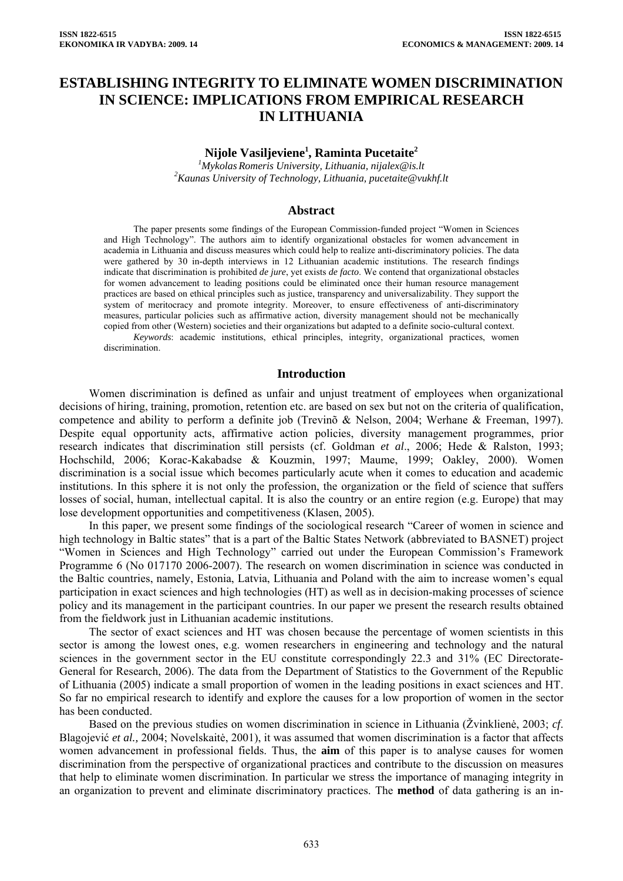# **ESTABLISHING INTEGRITY TO ELIMINATE WOMEN DISCRIMINATION IN SCIENCE: IMPLICATIONS FROM EMPIRICAL RESEARCH IN LITHUANIA**

# **Nijole Vasiljeviene1 , Raminta Pucetaite2**

*1 Mykolas Romeris University, Lithuania, nijalex@is.lt 2 Kaunas University of Technology, Lithuania, pucetaite@vukhf.lt* 

#### **Abstract**

The paper presents some findings of the European Commission-funded project "Women in Sciences and High Technology". The authors aim to identify organizational obstacles for women advancement in academia in Lithuania and discuss measures which could help to realize anti-discriminatory policies. The data were gathered by 30 in-depth interviews in 12 Lithuanian academic institutions. The research findings indicate that discrimination is prohibited *de jure*, yet exists *de facto*. We contend that organizational obstacles for women advancement to leading positions could be eliminated once their human resource management practices are based on ethical principles such as justice, transparency and universalizability. They support the system of meritocracy and promote integrity. Moreover, to ensure effectiveness of anti-discriminatory measures, particular policies such as affirmative action, diversity management should not be mechanically copied from other (Western) societies and their organizations but adapted to a definite socio-cultural context.

*Keywords*: academic institutions, ethical principles, integrity, organizational practices, women discrimination.

#### **Introduction**

Women discrimination is defined as unfair and unjust treatment of employees when organizational decisions of hiring, training, promotion, retention etc. are based on sex but not on the criteria of qualification, competence and ability to perform a definite job (Trevinõ & Nelson, 2004; Werhane & Freeman, 1997). Despite equal opportunity acts, affirmative action policies, diversity management programmes, prior research indicates that discrimination still persists (cf. Goldman *et al*., 2006; Hede & Ralston, 1993; Hochschild, 2006; Korac-Kakabadse & Kouzmin, 1997; Maume, 1999; Oakley, 2000). Women discrimination is a social issue which becomes particularly acute when it comes to education and academic institutions. In this sphere it is not only the profession, the organization or the field of science that suffers losses of social, human, intellectual capital. It is also the country or an entire region (e.g. Europe) that may lose development opportunities and competitiveness (Klasen, 2005).

In this paper, we present some findings of the sociological research "Career of women in science and high technology in Baltic states" that is a part of the Baltic States Network (abbreviated to BASNET) project "Women in Sciences and High Technology" carried out under the European Commission's Framework Programme 6 (No 017170 2006-2007). The research on women discrimination in science was conducted in the Baltic countries, namely, Estonia, Latvia, Lithuania and Poland with the aim to increase women's equal participation in exact sciences and high technologies (HT) as well as in decision-making processes of science policy and its management in the participant countries. In our paper we present the research results obtained from the fieldwork just in Lithuanian academic institutions.

The sector of exact sciences and HT was chosen because the percentage of women scientists in this sector is among the lowest ones, e.g. women researchers in engineering and technology and the natural sciences in the government sector in the EU constitute correspondingly 22.3 and 31% (EC Directorate-General for Research, 2006). The data from the Department of Statistics to the Government of the Republic of Lithuania (2005) indicate a small proportion of women in the leading positions in exact sciences and HT. So far no empirical research to identify and explore the causes for a low proportion of women in the sector has been conducted.

Based on the previous studies on women discrimination in science in Lithuania (Žvinklienė, 2003; *cf*. Blagojević *et al.,* 2004; Novelskaitė, 2001), it was assumed that women discrimination is a factor that affects women advancement in professional fields. Thus, the **aim** of this paper is to analyse causes for women discrimination from the perspective of organizational practices and contribute to the discussion on measures that help to eliminate women discrimination. In particular we stress the importance of managing integrity in an organization to prevent and eliminate discriminatory practices. The **method** of data gathering is an in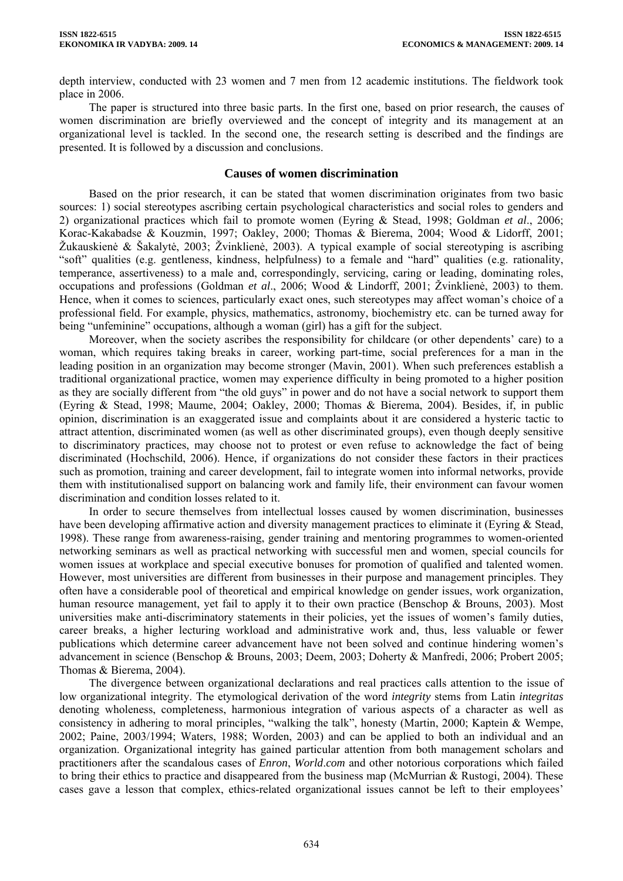depth interview, conducted with 23 women and 7 men from 12 academic institutions. The fieldwork took place in 2006.

The paper is structured into three basic parts. In the first one, based on prior research, the causes of women discrimination are briefly overviewed and the concept of integrity and its management at an organizational level is tackled. In the second one, the research setting is described and the findings are presented. It is followed by a discussion and conclusions.

#### **Causes of women discrimination**

Based on the prior research, it can be stated that women discrimination originates from two basic sources: 1) social stereotypes ascribing certain psychological characteristics and social roles to genders and 2) organizational practices which fail to promote women (Eyring & Stead, 1998; Goldman *et al*., 2006; Korac-Kakabadse & Kouzmin, 1997; Oakley, 2000; Thomas & Bierema, 2004; Wood & Lidorff, 2001; Žukauskienė & Šakalytė, 2003; Žvinklienė, 2003). A typical example of social stereotyping is ascribing "soft" qualities (e.g. gentleness, kindness, helpfulness) to a female and "hard" qualities (e.g. rationality, temperance, assertiveness) to a male and, correspondingly, servicing, caring or leading, dominating roles, occupations and professions (Goldman *et al*., 2006; Wood & Lindorff, 2001; Žvinklienė, 2003) to them. Hence, when it comes to sciences, particularly exact ones, such stereotypes may affect woman's choice of a professional field. For example, physics, mathematics, astronomy, biochemistry etc. can be turned away for being "unfeminine" occupations, although a woman (girl) has a gift for the subject.

Moreover, when the society ascribes the responsibility for childcare (or other dependents' care) to a woman, which requires taking breaks in career, working part-time, social preferences for a man in the leading position in an organization may become stronger (Mavin, 2001). When such preferences establish a traditional organizational practice, women may experience difficulty in being promoted to a higher position as they are socially different from "the old guys" in power and do not have a social network to support them (Eyring & Stead, 1998; Maume, 2004; Oakley, 2000; Thomas & Bierema, 2004). Besides, if, in public opinion, discrimination is an exaggerated issue and complaints about it are considered a hysteric tactic to attract attention, discriminated women (as well as other discriminated groups), even though deeply sensitive to discriminatory practices, may choose not to protest or even refuse to acknowledge the fact of being discriminated (Hochschild, 2006). Hence, if organizations do not consider these factors in their practices such as promotion, training and career development, fail to integrate women into informal networks, provide them with institutionalised support on balancing work and family life, their environment can favour women discrimination and condition losses related to it.

In order to secure themselves from intellectual losses caused by women discrimination, businesses have been developing affirmative action and diversity management practices to eliminate it (Eyring & Stead, 1998). These range from awareness-raising, gender training and mentoring programmes to women-oriented networking seminars as well as practical networking with successful men and women, special councils for women issues at workplace and special executive bonuses for promotion of qualified and talented women. However, most universities are different from businesses in their purpose and management principles. They often have a considerable pool of theoretical and empirical knowledge on gender issues, work organization, human resource management, yet fail to apply it to their own practice (Benschop & Brouns, 2003). Most universities make anti-discriminatory statements in their policies, yet the issues of women's family duties, career breaks, a higher lecturing workload and administrative work and, thus, less valuable or fewer publications which determine career advancement have not been solved and continue hindering women's advancement in science (Benschop & Brouns, 2003; Deem, 2003; Doherty & Manfredi, 2006; Probert 2005; Thomas & Bierema, 2004).

The divergence between organizational declarations and real practices calls attention to the issue of low organizational integrity. The etymological derivation of the word *integrity* stems from Latin *integritas* denoting wholeness, completeness, harmonious integration of various aspects of a character as well as consistency in adhering to moral principles, "walking the talk", honesty (Martin, 2000; Kaptein & Wempe, 2002; Paine, 2003/1994; Waters, 1988; Worden, 2003) and can be applied to both an individual and an organization. Organizational integrity has gained particular attention from both management scholars and practitioners after the scandalous cases of *Enron*, *World*.*com* and other notorious corporations which failed to bring their ethics to practice and disappeared from the business map (McMurrian & Rustogi, 2004). These cases gave a lesson that complex, ethics-related organizational issues cannot be left to their employees'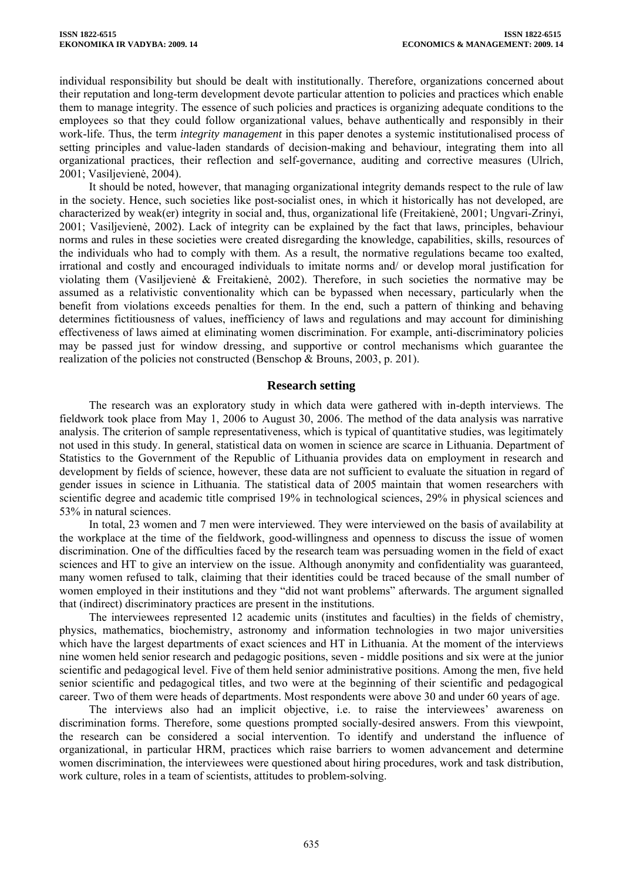individual responsibility but should be dealt with institutionally. Therefore, organizations concerned about their reputation and long-term development devote particular attention to policies and practices which enable them to manage integrity. The essence of such policies and practices is organizing adequate conditions to the employees so that they could follow organizational values, behave authentically and responsibly in their work-life. Thus, the term *integrity management* in this paper denotes a systemic institutionalised process of setting principles and value-laden standards of decision-making and behaviour, integrating them into all organizational practices, their reflection and self-governance, auditing and corrective measures (Ulrich, 2001; Vasiljevienė, 2004).

It should be noted, however, that managing organizational integrity demands respect to the rule of law in the society. Hence, such societies like post-socialist ones, in which it historically has not developed, are characterized by weak(er) integrity in social and, thus, organizational life (Freitakienė, 2001; Ungvari-Zrinyi, 2001; Vasiljevienė, 2002). Lack of integrity can be explained by the fact that laws, principles, behaviour norms and rules in these societies were created disregarding the knowledge, capabilities, skills, resources of the individuals who had to comply with them. As a result, the normative regulations became too exalted, irrational and costly and encouraged individuals to imitate norms and/ or develop moral justification for violating them (Vasiljevienė & Freitakienė, 2002). Therefore, in such societies the normative may be assumed as a relativistic conventionality which can be bypassed when necessary, particularly when the benefit from violations exceeds penalties for them. In the end, such a pattern of thinking and behaving determines fictitiousness of values, inefficiency of laws and regulations and may account for diminishing effectiveness of laws aimed at eliminating women discrimination. For example, anti-discriminatory policies may be passed just for window dressing, and supportive or control mechanisms which guarantee the realization of the policies not constructed (Benschop & Brouns, 2003, p. 201).

## **Research setting**

The research was an exploratory study in which data were gathered with in-depth interviews. The fieldwork took place from May 1, 2006 to August 30, 2006. The method of the data analysis was narrative analysis. The criterion of sample representativeness, which is typical of quantitative studies, was legitimately not used in this study. In general, statistical data on women in science are scarce in Lithuania. Department of Statistics to the Government of the Republic of Lithuania provides data on employment in research and development by fields of science, however, these data are not sufficient to evaluate the situation in regard of gender issues in science in Lithuania. The statistical data of 2005 maintain that women researchers with scientific degree and academic title comprised 19% in technological sciences, 29% in physical sciences and 53% in natural sciences.

In total, 23 women and 7 men were interviewed. They were interviewed on the basis of availability at the workplace at the time of the fieldwork, good-willingness and openness to discuss the issue of women discrimination. One of the difficulties faced by the research team was persuading women in the field of exact sciences and HT to give an interview on the issue. Although anonymity and confidentiality was guaranteed, many women refused to talk, claiming that their identities could be traced because of the small number of women employed in their institutions and they "did not want problems" afterwards. The argument signalled that (indirect) discriminatory practices are present in the institutions.

The interviewees represented 12 academic units (institutes and faculties) in the fields of chemistry, physics, mathematics, biochemistry, astronomy and information technologies in two major universities which have the largest departments of exact sciences and HT in Lithuania. At the moment of the interviews nine women held senior research and pedagogic positions, seven - middle positions and six were at the junior scientific and pedagogical level. Five of them held senior administrative positions. Among the men, five held senior scientific and pedagogical titles, and two were at the beginning of their scientific and pedagogical career. Two of them were heads of departments. Most respondents were above 30 and under 60 years of age.

The interviews also had an implicit objective, i.e. to raise the interviewees' awareness on discrimination forms. Therefore, some questions prompted socially-desired answers. From this viewpoint, the research can be considered a social intervention. To identify and understand the influence of organizational, in particular HRM, practices which raise barriers to women advancement and determine women discrimination, the interviewees were questioned about hiring procedures, work and task distribution, work culture, roles in a team of scientists, attitudes to problem-solving.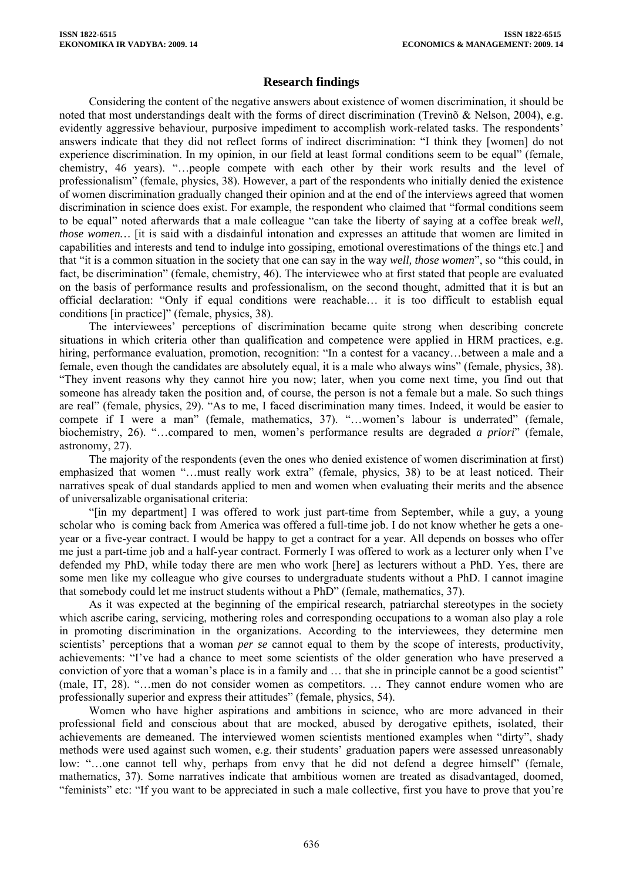# **Research findings**

Considering the content of the negative answers about existence of women discrimination, it should be noted that most understandings dealt with the forms of direct discrimination (Trevinõ & Nelson, 2004), e.g. evidently aggressive behaviour, purposive impediment to accomplish work-related tasks. The respondents' answers indicate that they did not reflect forms of indirect discrimination: "I think they [women] do not experience discrimination. In my opinion, in our field at least formal conditions seem to be equal" (female, chemistry, 46 years). "…people compete with each other by their work results and the level of professionalism" (female, physics, 38). However, a part of the respondents who initially denied the existence of women discrimination gradually changed their opinion and at the end of the interviews agreed that women discrimination in science does exist. For example, the respondent who claimed that "formal conditions seem to be equal" noted afterwards that a male colleague "can take the liberty of saying at a coffee break *well, those women...* [it is said with a disdainful intonation and expresses an attitude that women are limited in capabilities and interests and tend to indulge into gossiping, emotional overestimations of the things etc.] and that "it is a common situation in the society that one can say in the way *well, those women*", so "this could, in fact, be discrimination" (female, chemistry, 46). The interviewee who at first stated that people are evaluated on the basis of performance results and professionalism, on the second thought, admitted that it is but an official declaration: "Only if equal conditions were reachable… it is too difficult to establish equal conditions [in practice]" (female, physics, 38).

The interviewees' perceptions of discrimination became quite strong when describing concrete situations in which criteria other than qualification and competence were applied in HRM practices, e.g. hiring, performance evaluation, promotion, recognition: "In a contest for a vacancy...between a male and a female, even though the candidates are absolutely equal, it is a male who always wins" (female, physics, 38). "They invent reasons why they cannot hire you now; later, when you come next time, you find out that someone has already taken the position and, of course, the person is not a female but a male. So such things are real" (female, physics, 29). "As to me, I faced discrimination many times. Indeed, it would be easier to compete if I were a man" (female, mathematics, 37). "…women's labour is underrated" (female, biochemistry, 26). "…compared to men, women's performance results are degraded *a priori*" (female, astronomy, 27).

The majority of the respondents (even the ones who denied existence of women discrimination at first) emphasized that women "…must really work extra" (female, physics, 38) to be at least noticed. Their narratives speak of dual standards applied to men and women when evaluating their merits and the absence of universalizable organisational criteria:

"[in my department] I was offered to work just part-time from September, while a guy, a young scholar who is coming back from America was offered a full-time job. I do not know whether he gets a oneyear or a five-year contract. I would be happy to get a contract for a year. All depends on bosses who offer me just a part-time job and a half-year contract. Formerly I was offered to work as a lecturer only when I've defended my PhD, while today there are men who work [here] as lecturers without a PhD. Yes, there are some men like my colleague who give courses to undergraduate students without a PhD. I cannot imagine that somebody could let me instruct students without a PhD" (female, mathematics, 37).

As it was expected at the beginning of the empirical research, patriarchal stereotypes in the society which ascribe caring, servicing, mothering roles and corresponding occupations to a woman also play a role in promoting discrimination in the organizations. According to the interviewees, they determine men scientists' perceptions that a woman *per se* cannot equal to them by the scope of interests, productivity, achievements: "I've had a chance to meet some scientists of the older generation who have preserved a conviction of yore that a woman's place is in a family and … that she in principle cannot be a good scientist" (male, IT, 28). "…men do not consider women as competitors. … They cannot endure women who are professionally superior and express their attitudes" (female, physics, 54).

Women who have higher aspirations and ambitions in science, who are more advanced in their professional field and conscious about that are mocked, abused by derogative epithets, isolated, their achievements are demeaned. The interviewed women scientists mentioned examples when "dirty", shady methods were used against such women, e.g. their students' graduation papers were assessed unreasonably low: "…one cannot tell why, perhaps from envy that he did not defend a degree himself" (female, mathematics, 37). Some narratives indicate that ambitious women are treated as disadvantaged, doomed, "feminists" etc: "If you want to be appreciated in such a male collective, first you have to prove that you're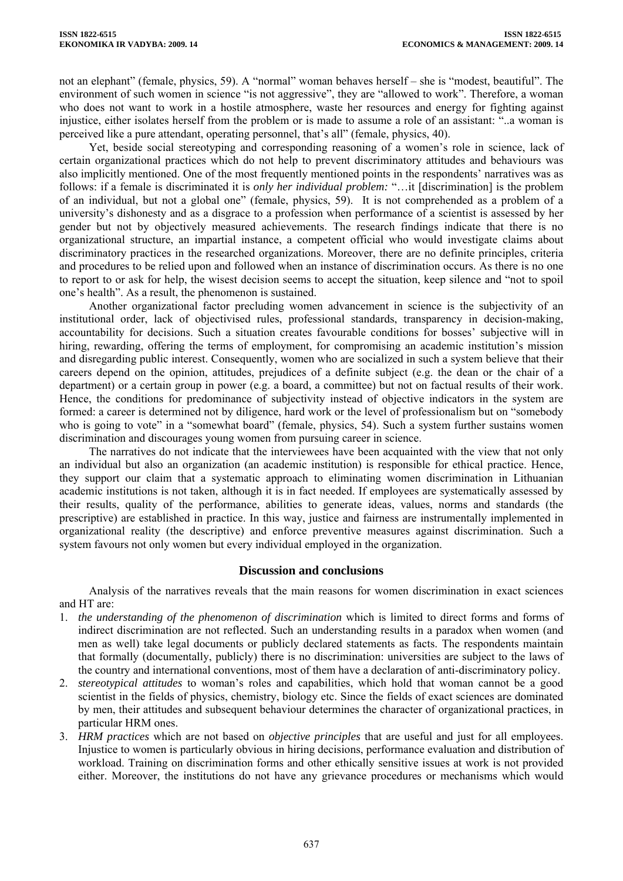not an elephant" (female, physics, 59). A "normal" woman behaves herself – she is "modest, beautiful". The environment of such women in science "is not aggressive", they are "allowed to work". Therefore, a woman who does not want to work in a hostile atmosphere, waste her resources and energy for fighting against injustice, either isolates herself from the problem or is made to assume a role of an assistant: "..a woman is perceived like a pure attendant, operating personnel, that's all" (female, physics, 40).

Yet, beside social stereotyping and corresponding reasoning of a women's role in science, lack of certain organizational practices which do not help to prevent discriminatory attitudes and behaviours was also implicitly mentioned. One of the most frequently mentioned points in the respondents' narratives was as follows: if a female is discriminated it is *only her individual problem:* "…it [discrimination] is the problem of an individual, but not a global one" (female, physics, 59). It is not comprehended as a problem of a university's dishonesty and as a disgrace to a profession when performance of a scientist is assessed by her gender but not by objectively measured achievements. The research findings indicate that there is no organizational structure, an impartial instance, a competent official who would investigate claims about discriminatory practices in the researched organizations. Moreover, there are no definite principles, criteria and procedures to be relied upon and followed when an instance of discrimination occurs. As there is no one to report to or ask for help, the wisest decision seems to accept the situation, keep silence and "not to spoil one's health". As a result, the phenomenon is sustained.

Another organizational factor precluding women advancement in science is the subjectivity of an institutional order, lack of objectivised rules, professional standards, transparency in decision-making, accountability for decisions. Such a situation creates favourable conditions for bosses' subjective will in hiring, rewarding, offering the terms of employment, for compromising an academic institution's mission and disregarding public interest. Consequently, women who are socialized in such a system believe that their careers depend on the opinion, attitudes, prejudices of a definite subject (e.g. the dean or the chair of a department) or a certain group in power (e.g. a board, a committee) but not on factual results of their work. Hence, the conditions for predominance of subjectivity instead of objective indicators in the system are formed: a career is determined not by diligence, hard work or the level of professionalism but on "somebody who is going to vote" in a "somewhat board" (female, physics, 54). Such a system further sustains women discrimination and discourages young women from pursuing career in science.

The narratives do not indicate that the interviewees have been acquainted with the view that not only an individual but also an organization (an academic institution) is responsible for ethical practice. Hence, they support our claim that a systematic approach to eliminating women discrimination in Lithuanian academic institutions is not taken, although it is in fact needed. If employees are systematically assessed by their results, quality of the performance, abilities to generate ideas, values, norms and standards (the prescriptive) are established in practice. In this way, justice and fairness are instrumentally implemented in organizational reality (the descriptive) and enforce preventive measures against discrimination. Such a system favours not only women but every individual employed in the organization.

## **Discussion and conclusions**

Analysis of the narratives reveals that the main reasons for women discrimination in exact sciences and HT are:

- 1. *the understanding of the phenomenon of discrimination* which is limited to direct forms and forms of indirect discrimination are not reflected. Such an understanding results in a paradox when women (and men as well) take legal documents or publicly declared statements as facts. The respondents maintain that formally (documentally, publicly) there is no discrimination: universities are subject to the laws of the country and international conventions, most of them have a declaration of anti-discriminatory policy.
- 2. *stereotypical attitudes* to woman's roles and capabilities, which hold that woman cannot be a good scientist in the fields of physics, chemistry, biology etc. Since the fields of exact sciences are dominated by men, their attitudes and subsequent behaviour determines the character of organizational practices, in particular HRM ones.
- 3. *HRM practices* which are not based on *objective principles* that are useful and just for all employees. Injustice to women is particularly obvious in hiring decisions, performance evaluation and distribution of workload. Training on discrimination forms and other ethically sensitive issues at work is not provided either. Moreover, the institutions do not have any grievance procedures or mechanisms which would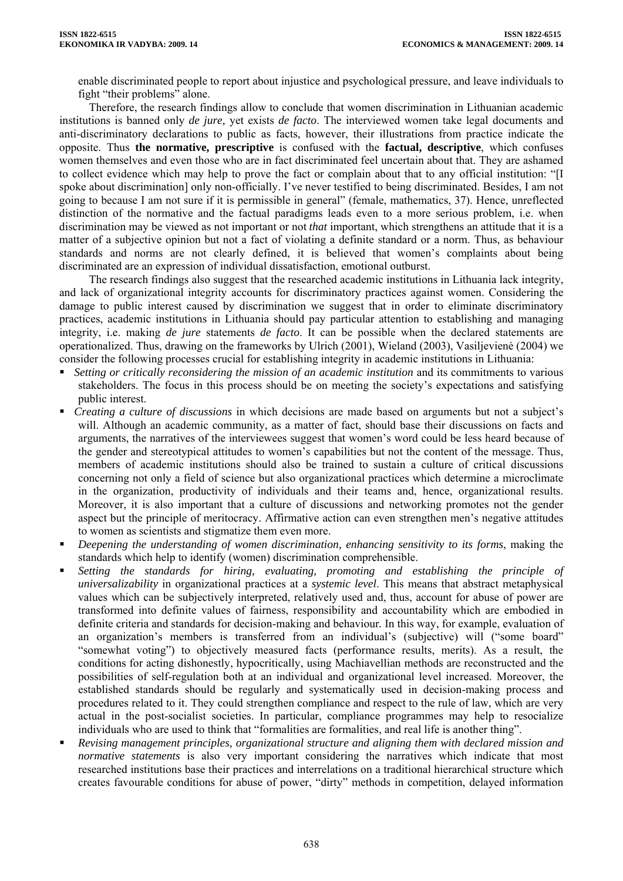enable discriminated people to report about injustice and psychological pressure, and leave individuals to fight "their problems" alone.

Therefore, the research findings allow to conclude that women discrimination in Lithuanian academic institutions is banned only *de jure,* yet exists *de facto*. The interviewed women take legal documents and anti-discriminatory declarations to public as facts, however, their illustrations from practice indicate the opposite. Thus **the normative, prescriptive** is confused with the **factual, descriptive**, which confuses women themselves and even those who are in fact discriminated feel uncertain about that. They are ashamed to collect evidence which may help to prove the fact or complain about that to any official institution: "[I spoke about discrimination] only non-officially. I've never testified to being discriminated. Besides, I am not going to because I am not sure if it is permissible in general" (female, mathematics, 37). Hence, unreflected distinction of the normative and the factual paradigms leads even to a more serious problem, i.e. when discrimination may be viewed as not important or not *that* important, which strengthens an attitude that it is a matter of a subjective opinion but not a fact of violating a definite standard or a norm. Thus, as behaviour standards and norms are not clearly defined, it is believed that women's complaints about being discriminated are an expression of individual dissatisfaction, emotional outburst.

The research findings also suggest that the researched academic institutions in Lithuania lack integrity, and lack of organizational integrity accounts for discriminatory practices against women. Considering the damage to public interest caused by discrimination we suggest that in order to eliminate discriminatory practices, academic institutions in Lithuania should pay particular attention to establishing and managing integrity, i.e. making *de jure* statements *de facto*. It can be possible when the declared statements are operationalized. Thus, drawing on the frameworks by Ulrich (2001), Wieland (2003), Vasiljevienė (2004) we consider the following processes crucial for establishing integrity in academic institutions in Lithuania:

- *Setting or critically reconsidering the mission of an academic institution* and its commitments to various stakeholders. The focus in this process should be on meeting the society's expectations and satisfying public interest.
- *Creating a culture of discussions* in which decisions are made based on arguments but not a subject's will. Although an academic community, as a matter of fact, should base their discussions on facts and arguments, the narratives of the interviewees suggest that women's word could be less heard because of the gender and stereotypical attitudes to women's capabilities but not the content of the message. Thus, members of academic institutions should also be trained to sustain a culture of critical discussions concerning not only a field of science but also organizational practices which determine a microclimate in the organization, productivity of individuals and their teams and, hence, organizational results. Moreover, it is also important that a culture of discussions and networking promotes not the gender aspect but the principle of meritocracy. Affirmative action can even strengthen men's negative attitudes to women as scientists and stigmatize them even more.
- *Deepening the understanding of women discrimination, enhancing sensitivity to its forms*, making the standards which help to identify (women) discrimination comprehensible.
- *Setting the standards for hiring, evaluating, promoting and establishing the principle of universalizability* in organizational practices at a *systemic level*. This means that abstract metaphysical values which can be subjectively interpreted, relatively used and, thus, account for abuse of power are transformed into definite values of fairness, responsibility and accountability which are embodied in definite criteria and standards for decision-making and behaviour*.* In this way, for example, evaluation of an organization's members is transferred from an individual's (subjective) will ("some board" "somewhat voting") to objectively measured facts (performance results, merits). As a result, the conditions for acting dishonestly, hypocritically, using Machiavellian methods are reconstructed and the possibilities of self-regulation both at an individual and organizational level increased. Moreover, the established standards should be regularly and systematically used in decision-making process and procedures related to it. They could strengthen compliance and respect to the rule of law, which are very actual in the post-socialist societies. In particular, compliance programmes may help to resocialize individuals who are used to think that "formalities are formalities, and real life is another thing".
- *Revising management principles, organizational structure and aligning them with declared mission and normative statements* is also very important considering the narratives which indicate that most researched institutions base their practices and interrelations on a traditional hierarchical structure which creates favourable conditions for abuse of power, "dirty" methods in competition, delayed information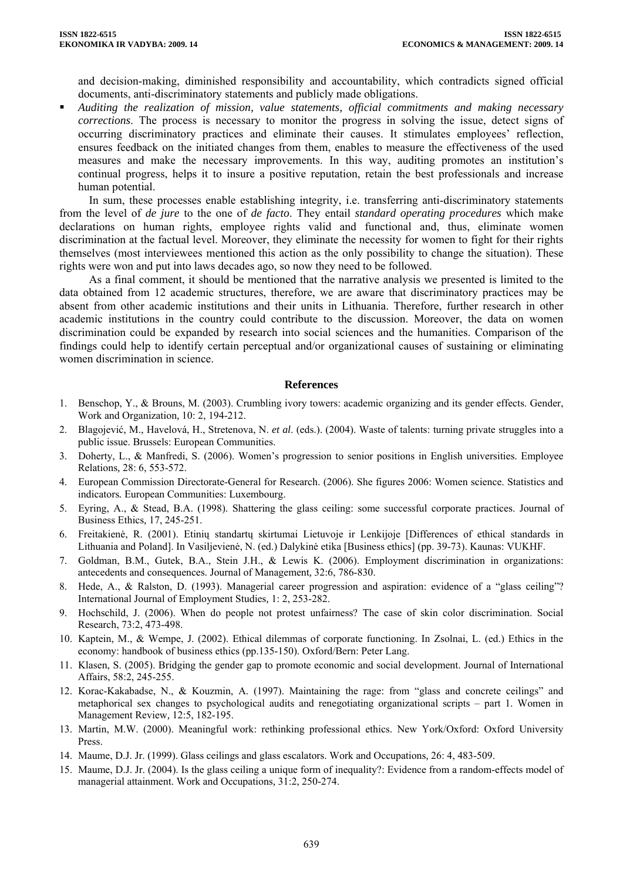and decision-making, diminished responsibility and accountability, which contradicts signed official documents, anti-discriminatory statements and publicly made obligations.

 *Auditing the realization of mission, value statements, official commitments and making necessary corrections*. The process is necessary to monitor the progress in solving the issue, detect signs of occurring discriminatory practices and eliminate their causes. It stimulates employees' reflection, ensures feedback on the initiated changes from them, enables to measure the effectiveness of the used measures and make the necessary improvements. In this way, auditing promotes an institution's continual progress, helps it to insure a positive reputation, retain the best professionals and increase human potential.

In sum, these processes enable establishing integrity, i.e. transferring anti-discriminatory statements from the level of *de jure* to the one of *de facto*. They entail *standard operating procedures* which make declarations on human rights, employee rights valid and functional and, thus, eliminate women discrimination at the factual level. Moreover, they eliminate the necessity for women to fight for their rights themselves (most interviewees mentioned this action as the only possibility to change the situation). These rights were won and put into laws decades ago, so now they need to be followed.

As a final comment, it should be mentioned that the narrative analysis we presented is limited to the data obtained from 12 academic structures, therefore, we are aware that discriminatory practices may be absent from other academic institutions and their units in Lithuania. Therefore, further research in other academic institutions in the country could contribute to the discussion. Moreover, the data on women discrimination could be expanded by research into social sciences and the humanities. Comparison of the findings could help to identify certain perceptual and/or organizational causes of sustaining or eliminating women discrimination in science.

#### **References**

- 1. Benschop, Y., & Brouns, M. (2003). Crumbling ivory towers: academic organizing and its gender effects. Gender, Work and Organization*,* 10: 2, 194-212.
- 2. Blagojević, M., Havelová, H., Stretenova, N. *et al*. (eds.). (2004). Waste of talents: turning private struggles into a public issue. Brussels: European Communities.
- 3. Doherty, L., & Manfredi, S. (2006). Women's progression to senior positions in English universities. Employee Relations*,* 28: 6, 553-572.
- 4. European Commission Directorate-General for Research. (2006). She figures 2006: Women science. Statistics and indicators*.* European Communities: Luxembourg.
- 5. Eyring, A., & Stead, B.A. (1998). Shattering the glass ceiling: some successful corporate practices. Journal of Business Ethics*,* 17, 245-251.
- 6. Freitakienė, R. (2001). Etinių standartų skirtumai Lietuvoje ir Lenkijoje [Differences of ethical standards in Lithuania and Poland]. In Vasiljevienė, N. (ed.) Dalykinė etika [Business ethics] (pp. 39-73). Kaunas: VUKHF.
- 7. Goldman, B.M., Gutek, B.A., Stein J.H., & Lewis K. (2006). Employment discrimination in organizations: antecedents and consequences. Journal of Management*,* 32:6, 786-830.
- 8. Hede, A., & Ralston, D. (1993). Managerial career progression and aspiration: evidence of a "glass ceiling"? International Journal of Employment Studies*,* 1: 2, 253-282.
- 9. Hochschild, J. (2006). When do people not protest unfairness? The case of skin color discrimination. Social Research, 73:2, 473-498.
- 10. Kaptein, M., & Wempe, J. (2002). Ethical dilemmas of corporate functioning. In Zsolnai, L. (ed.) Ethics in the economy: handbook of business ethics (pp.135-150). Oxford/Bern: Peter Lang.
- 11. Klasen, S. (2005). Bridging the gender gap to promote economic and social development. Journal of International Affairs, 58:2, 245-255.
- 12. Korac-Kakabadse, N., & Kouzmin, A. (1997). Maintaining the rage: from "glass and concrete ceilings" and metaphorical sex changes to psychological audits and renegotiating organizational scripts – part 1. Women in Management Review*,* 12:5, 182-195.
- 13. Martin, M.W. (2000). Meaningful work: rethinking professional ethics. New York/Oxford: Oxford University Press.
- 14. Maume, D.J. Jr. (1999). Glass ceilings and glass escalators. Work and Occupations*,* 26: 4, 483-509.
- 15. Maume, D.J. Jr. (2004). Is the glass ceiling a unique form of inequality?: Evidence from a random-effects model of managerial attainment. Work and Occupations*,* 31:2, 250-274.